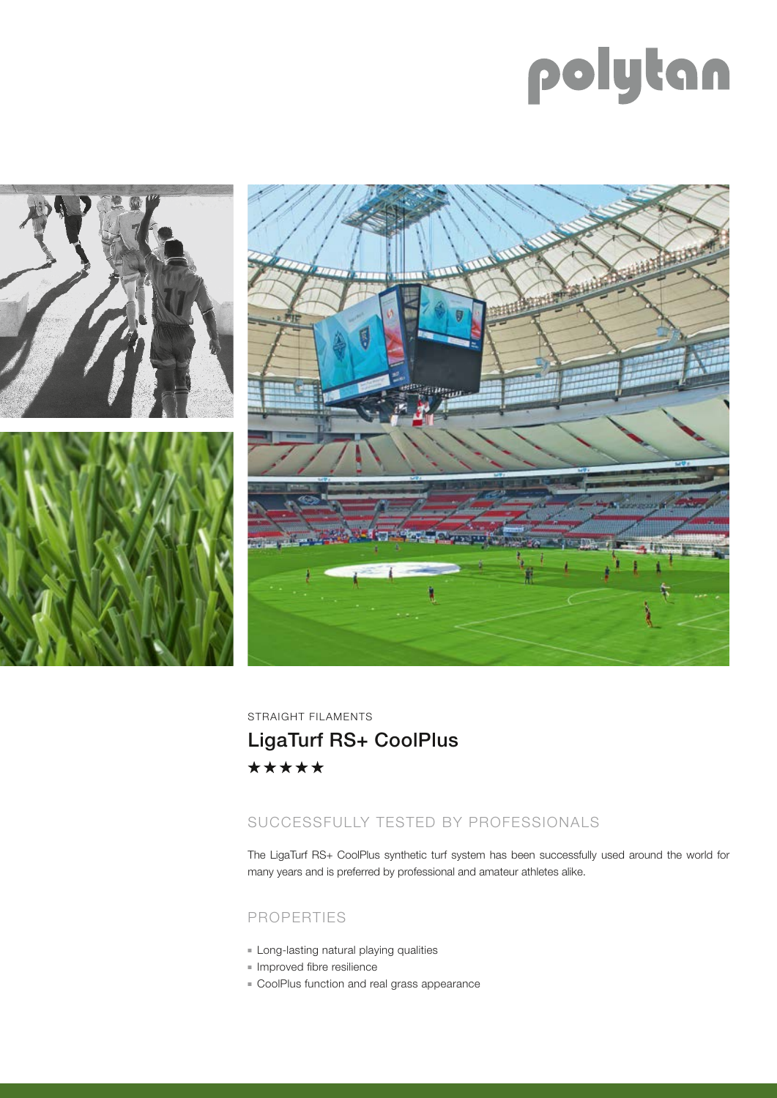# polytan



STRAIGHT FILAMENTS LigaTurf RS+ CoolPlus \*\*\*\*\*

## SUCCESSFULLY TESTED BY PROFESSIONALS

The LigaTurf RS+ CoolPlus synthetic turf system has been successfully used around the world for many years and is preferred by professional and amateur athletes alike.

### PROPERTIES

- **E** Long-lasting natural playing qualities
- **n** Improved fibre resilience
- **EX CoolPlus function and real grass appearance**